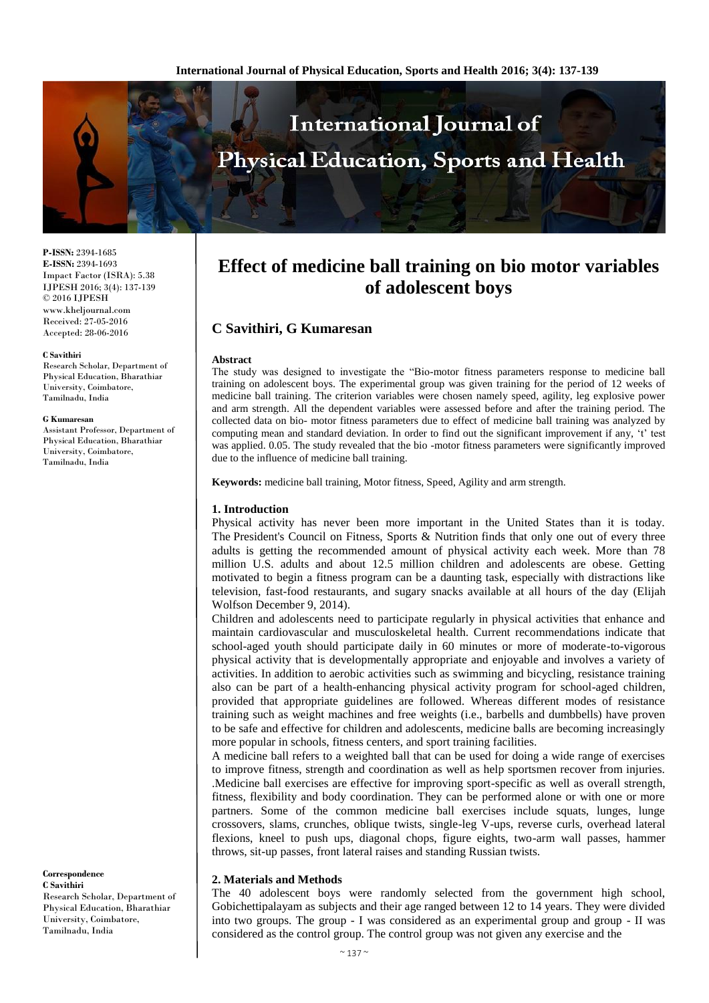

**P-ISSN:** 2394-1685 **E-ISSN:** 2394-1693 Impact Factor (ISRA): 5.38 IJPESH 2016; 3(4): 137-139 © 2016 IJPESH www.kheljournal.com Received: 27-05-2016 Accepted: 28-06-2016

#### **C Savithiri**

Research Scholar, Department of Physical Education, Bharathiar University, Coimbatore, Tamilnadu, India

#### **G Kumaresan**

Assistant Professor, Department of Physical Education, Bharathiar University, Coimbatore, Tamilnadu, India

#### **Correspondence C Savithiri**

Research Scholar, Department of Physical Education, Bharathiar University, Coimbatore, Tamilnadu, India

# **Effect of medicine ball training on bio motor variables of adolescent boys**

# **C Savithiri, G Kumaresan**

### **Abstract**

The study was designed to investigate the "Bio-motor fitness parameters response to medicine ball training on adolescent boys. The experimental group was given training for the period of 12 weeks of medicine ball training. The criterion variables were chosen namely speed, agility, leg explosive power and arm strength. All the dependent variables were assessed before and after the training period. The collected data on bio- motor fitness parameters due to effect of medicine ball training was analyzed by computing mean and standard deviation. In order to find out the significant improvement if any, 't' test was applied. 0.05. The study revealed that the bio-motor fitness parameters were significantly improved due to the influence of medicine ball training.

**Keywords:** medicine ball training, Motor fitness, Speed, Agility and arm strength.

## **1. Introduction**

Physical activity has never been more important in the United States than it is today. The President's Council on Fitness, Sports & Nutrition finds that only one out of every three adults is getting the recommended amount of physical activity each week. More than 78 million U.S. adults and about 12.5 million children and adolescents are obese. Getting motivated to begin a fitness program can be a daunting task, especially with distractions like television, fast-food restaurants, and sugary snacks available at all hours of the day (Elijah Wolfson December 9, 2014).

Children and adolescents need to participate regularly in physical activities that enhance and maintain cardiovascular and musculoskeletal health. Current recommendations indicate that school-aged youth should participate daily in 60 minutes or more of moderate-to-vigorous physical activity that is developmentally appropriate and enjoyable and involves a variety of activities. In addition to aerobic activities such as swimming and bicycling, resistance training also can be part of a health-enhancing physical activity program for school-aged children, provided that appropriate guidelines are followed. Whereas different modes of resistance training such as weight machines and free weights (i.e., barbells and dumbbells) have proven to be safe and effective for children and adolescents, medicine balls are becoming increasingly more popular in schools, fitness centers, and sport training facilities.

A medicine ball refers to a weighted ball that can be used for doing a wide range of exercises to improve fitness, strength and coordination as well as help sportsmen recover from injuries. .Medicine ball exercises are effective for improving sport-specific as well as overall strength, fitness, flexibility and body coordination. They can be performed alone or with one or more partners. Some of the common medicine ball exercises include squats, lunges, lunge crossovers, slams, crunches, oblique twists, single-leg V-ups, reverse curls, overhead lateral flexions, kneel to push ups, diagonal chops, figure eights, two-arm wall passes, hammer throws, sit-up passes, front lateral raises and standing Russian twists.

## **2. Materials and Methods**

The 40 adolescent boys were randomly selected from the government high school, Gobichettipalayam as subjects and their age ranged between 12 to 14 years. They were divided into two groups. The group - I was considered as an experimental group and group - II was considered as the control group. The control group was not given any exercise and the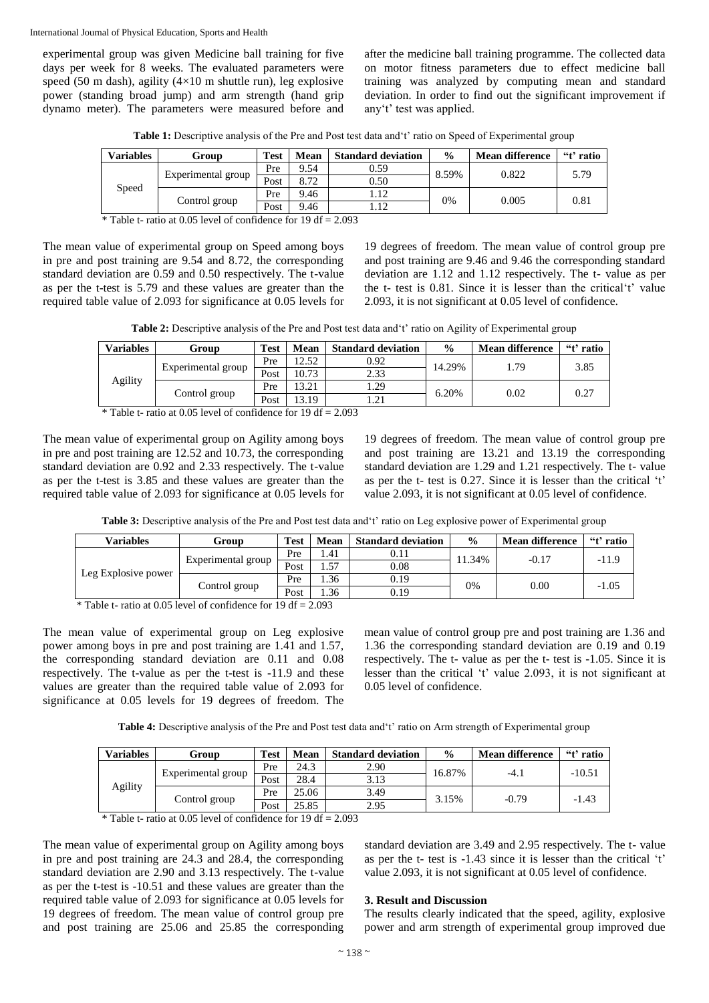International Journal of Physical Education, Sports and Health

experimental group was given Medicine ball training for five days per week for 8 weeks. The evaluated parameters were speed (50 m dash), agility (4×10 m shuttle run), leg explosive power (standing broad jump) and arm strength (hand grip dynamo meter). The parameters were measured before and after the medicine ball training programme. The collected data on motor fitness parameters due to effect medicine ball training was analyzed by computing mean and standard deviation. In order to find out the significant improvement if any't' test was applied.

Table 1: Descriptive analysis of the Pre and Post test data and 't' ratio on Speed of Experimental group

| Variables | Group              | <b>Test</b> | Mean | <b>Standard deviation</b> | $\frac{0}{0}$ | <b>Mean difference</b> | "t' ratio |
|-----------|--------------------|-------------|------|---------------------------|---------------|------------------------|-----------|
| Speed     | Experimental group | Pre         | 9.54 | 0.59                      | 8.59%         | 0.822                  | 5.79      |
|           |                    | Post        | 8.72 | 0.50                      |               |                        |           |
|           | Control group      | Pre         | 9.46 |                           | 0%            | 0.005                  | 0.81      |
|           |                    | Post        | 9.46 |                           |               |                        |           |

\* Table t- ratio at 0.05 level of confidence for 19 df =  $2.093$ 

The mean value of experimental group on Speed among boys in pre and post training are 9.54 and 8.72, the corresponding standard deviation are 0.59 and 0.50 respectively. The t-value as per the t-test is 5.79 and these values are greater than the required table value of 2.093 for significance at 0.05 levels for

19 degrees of freedom. The mean value of control group pre and post training are 9.46 and 9.46 the corresponding standard deviation are 1.12 and 1.12 respectively. The t- value as per the t- test is 0.81. Since it is lesser than the critical't' value 2.093, it is not significant at 0.05 level of confidence.

**Table 2:** Descriptive analysis of the Pre and Post test data and't' ratio on Agility of Experimental group

| <b>Variables</b> | Group              | Test | Mean  | <b>Standard deviation</b> | $\frac{0}{0}$ | <b>Mean difference</b> | "t' ratio |
|------------------|--------------------|------|-------|---------------------------|---------------|------------------------|-----------|
| Agility          | Experimental group | Pre  | 12.52 | 0.92                      | 14.29%        | . 79                   | 3.85      |
|                  |                    | Post | 10.73 | 2.33                      |               |                        |           |
|                  | Control group      | Pre  | 13.21 | . . 29                    | 6.20%         | 0.02                   | 0.27      |
|                  |                    | Post | 13.19 | $\lfloor .21 \rfloor$     |               |                        |           |

\* Table t- ratio at 0.05 level of confidence for 19 df =  $2.093$ 

The mean value of experimental group on Agility among boys in pre and post training are 12.52 and 10.73, the corresponding standard deviation are 0.92 and 2.33 respectively. The t-value as per the t-test is 3.85 and these values are greater than the required table value of 2.093 for significance at 0.05 levels for

19 degrees of freedom. The mean value of control group pre and post training are 13.21 and 13.19 the corresponding standard deviation are 1.29 and 1.21 respectively. The t- value as per the t- test is 0.27. Since it is lesser than the critical 't' value 2.093, it is not significant at 0.05 level of confidence.

Table 3: Descriptive analysis of the Pre and Post test data and 't' ratio on Leg explosive power of Experimental group

| <b>Variables</b>                                                                                  | Group              | <b>Test</b> | Mean | <b>Standard deviation</b> | $\frac{0}{0}$ | <b>Mean difference</b> | "t' ratio |  |
|---------------------------------------------------------------------------------------------------|--------------------|-------------|------|---------------------------|---------------|------------------------|-----------|--|
| Leg Explosive power                                                                               | Experimental group | Pre         | . 41 | 0.11                      | 11.34%        | $-0.17$                | $-11.9$   |  |
|                                                                                                   |                    | Post        | 1.57 | 0.08                      |               |                        |           |  |
|                                                                                                   | Control group      | Pre         | . 36 | 0.19                      | 0%            | 0.00                   | $-1.05$   |  |
|                                                                                                   |                    | Post        | .36  | 0.19                      |               |                        |           |  |
| $-$<br>$\overline{10}$ $\overline{10}$ $\overline{20}$ $\overline{20}$<br>$\sim$<br>$\sim$ $\sim$ |                    |             |      |                           |               |                        |           |  |

\* Table t- ratio at 0.05 level of confidence for 19 df =  $2.093$ 

The mean value of experimental group on Leg explosive power among boys in pre and post training are 1.41 and 1.57, the corresponding standard deviation are 0.11 and 0.08 respectively. The t-value as per the t-test is -11.9 and these values are greater than the required table value of 2.093 for significance at 0.05 levels for 19 degrees of freedom. The mean value of control group pre and post training are 1.36 and 1.36 the corresponding standard deviation are 0.19 and 0.19 respectively. The t- value as per the t- test is -1.05. Since it is lesser than the critical 't' value 2.093, it is not significant at 0.05 level of confidence.

**Table 4:** Descriptive analysis of the Pre and Post test data and't' ratio on Arm strength of Experimental group

| <b>Variables</b> | Group              | <b>Test</b> | Mean  | <b>Standard deviation</b> | $\frac{0}{0}$ | <b>Mean difference</b> | "t' ratio |
|------------------|--------------------|-------------|-------|---------------------------|---------------|------------------------|-----------|
| Agility          | Experimental group | Pre         | 24.3  | 2.90                      | 16.87%        | $-4.1$                 | $-10.51$  |
|                  |                    | Post        | 28.4  | 3.13                      |               |                        |           |
|                  | Control group      | Pre         | 25.06 | 3.49                      | 3.15%         | $-0.79$                | $-1.43$   |
|                  |                    | Post        | 25.85 | 2.95                      |               |                        |           |

\* Table t- ratio at 0.05 level of confidence for  $19 df = 2.093$ 

The mean value of experimental group on Agility among boys in pre and post training are 24.3 and 28.4, the corresponding standard deviation are 2.90 and 3.13 respectively. The t-value as per the t-test is -10.51 and these values are greater than the required table value of 2.093 for significance at 0.05 levels for 19 degrees of freedom. The mean value of control group pre and post training are 25.06 and 25.85 the corresponding standard deviation are 3.49 and 2.95 respectively. The t- value as per the t- test is -1.43 since it is lesser than the critical 't' value 2.093, it is not significant at 0.05 level of confidence.

## **3. Result and Discussion**

The results clearly indicated that the speed, agility, explosive power and arm strength of experimental group improved due